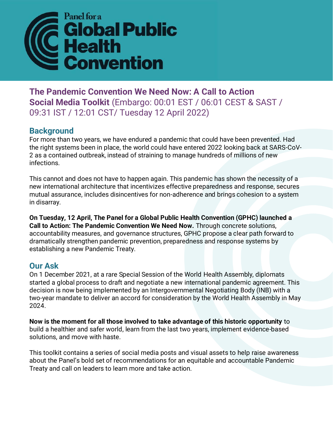

**The Pandemic Convention We Need Now: A Call to Action Social Media Toolkit** (Embargo: 00:01 EST / 06:01 CEST & SAST / 09:31 IST / 12:01 CST/ Tuesday 12 April 2022)

## **Background**

For more than two years, we have endured a pandemic that could have been prevented. Had the right systems been in place, the world could have entered 2022 looking back at SARS-CoV-2 as a contained outbreak, instead of straining to manage hundreds of millions of new infections.

This cannot and does not have to happen again. This pandemic has shown the necessity of a new international architecture that incentivizes effective preparedness and response, secures mutual assurance, includes disincentives for non-adherence and brings cohesion to a system in disarray.

**On Tuesday, 12 April, The Panel for a Global Public Health Convention (GPHC) launched a Call to Action: The Pandemic Convention We Need Now.** Through concrete solutions, accountability measures, and governance structures, GPHC propose a clear path forward to dramatically strengthen pandemic prevention, preparedness and response systems by establishing a new Pandemic Treaty.

## **Our Ask**

On 1 December 2021, at a rare Special Session of the World Health Assembly, diplomats started a global process to draft and negotiate a new international pandemic agreement. This decision is now being implemented by an Intergovernmental Negotiating Body (INB) with a two-year mandate to deliver an accord for consideration by the World Health Assembly in May 2024.

**Now is the moment for all those involved to take advantage of this historic opportunity** to build a healthier and safer world, learn from the last two years, implement evidence-based solutions, and move with haste.

This toolkit contains a series of social media posts and visual assets to help raise awareness about the Panel's bold set of recommendations for an equitable and accountable Pandemic Treaty and call on leaders to learn more and take action.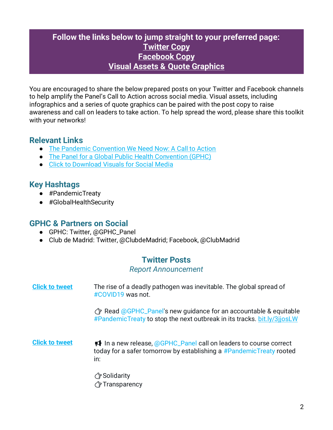## **Follow the links below to jump straight to your preferred page: [Twitter Copy](#page-1-0) [Facebook Copy](#page-3-0) [Visual Assets](#page-4-0) & [Quote Graphics](#page-4-0)**

You are encouraged to share the below prepared posts on your Twitter and Facebook channels to help amplify the Panel's Call to Action across social media. Visual assets, including infographics and a series of quote graphics can be paired with the post copy to raise awareness and call on leaders to take action. To help spread the word, please share this toolkit with your networks!

## **Relevant Links**

- The [Pandemic Convention We Need Now: A Call to Action](https://gphcpanel.org/the-pandemic-convention-we-need-now/)
- The [Panel for a Global Public Health Convention \(GPHC\)](https://gphcpanel.org/)
- [Click to Download](https://drive.google.com/drive/folders/1OGazoWT362tQG33NhLiCex2K8pd9W9T-) Visuals for Social Media

## **Key Hashtags**

- #PandemicTreaty
- #GlobalHealthSecurity

### **GPHC & Partners on Social**

- GPHC: Twitter, @GPHC\_Panel
- <span id="page-1-0"></span>● Club de Madrid: Twitter, @ClubdeMadrid; Facebook, @ClubMadrid

## **Twitter Posts**

#### *Report Announcement*

**[Click to tweet](https://ctt.ec/7b36y)** The rise of a deadly pathogen was inevitable. The global spread of #COVID19 was not.

> Read @GPHC\_Panel's new quidance for an accountable & equitable #PandemicTreaty to stop the next outbreak in its tracks. [bit.ly/3jjosLW](https://gphcpanel.org/the-pandemic-convention-we-need-now/)

- **[Click to tweet](https://ctt.ac/Zwzac) If** In a new release, @GPHC\_Panel call on leaders to course correct today for a safer tomorrow by establishing a #PandemicTreaty rooted in:
	- Solidarity
	- *T***ransparency**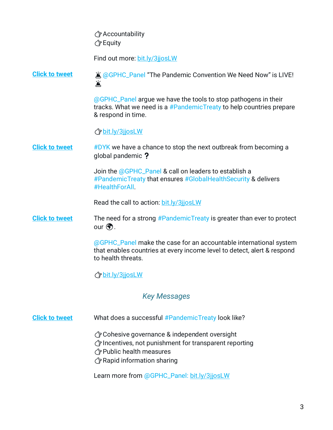Accountability  $\sqrt{7}$  Equity

Find out more: [bit.ly/3jjosLW](https://gphcpanel.org/the-pandemic-convention-we-need-now/)

**[Click to tweet](https://ctt.ac/_2Rx1)**  $\hat{a}$   $\hat{a}$   $\hat{b}$   $\hat{c}$   $\hat{c}$   $\hat{c}$   $\hat{c}$   $\hat{c}$   $\hat{c}$   $\hat{c}$   $\hat{c}$   $\hat{c}$   $\hat{c}$   $\hat{c}$   $\hat{c}$   $\hat{c}$   $\hat{c}$   $\hat{c}$   $\hat{c}$   $\hat{c}$   $\hat{c}$   $\hat{c}$   $\hat{c}$   $\hat{c}$   $\hat{c}$   $\hat{c$ 鲎

> @GPHC\_Panel argue we have the tools to stop pathogens in their tracks. What we need is a #PandemicTreaty to help countries prepare & respond in time.

[bit.ly/3jjosLW](https://gphcpanel.org/the-pandemic-convention-we-need-now/)

**[Click to tweet](https://ctt.ec/v472a)** #DYK we have a chance to stop the next outbreak from becoming a global pandemic ?

> Join the @GPHC\_Panel & call on leaders to establish a #PandemicTreaty that ensures #GlobalHealthSecurity & delivers #HealthForAll.

Read the call to action: [bit.ly/3jjosLW](https://gphcpanel.org/the-pandemic-convention-we-need-now/)

#### **[Click to tweet](https://ctt.ac/4rnHZ)** The need for a strong #PandemicTreaty is greater than ever to protect our  $\left(\begin{matrix} 1 \\ 1 \end{matrix}\right)$ .

@GPHC\_Panel make the case for an accountable international system that enables countries at every income level to detect, alert & respond to health threats.

[bit.ly/3jjosLW](https://gphcpanel.org/the-pandemic-convention-we-need-now/)

### *Key Messages*

**[Click to tweet](https://ctt.ac/I9AGi)** What does a successful #PandemicTreaty look like?

Cohesive governance & independent oversight

Incentives, not punishment for transparent reporting

Public health measures

Rapid information sharing

Learn more from @GPHC\_Panel: [bit.ly/3jjosLW](https://gphcpanel.org/the-pandemic-convention-we-need-now/)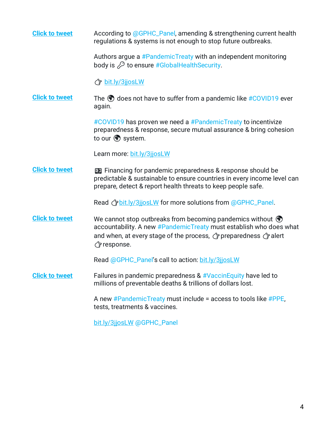<span id="page-3-0"></span>

| <b>Click to tweet</b> | According to @GPHC_Panel, amending & strengthening current health<br>regulations & systems is not enough to stop future outbreaks.                                                                                                          |
|-----------------------|---------------------------------------------------------------------------------------------------------------------------------------------------------------------------------------------------------------------------------------------|
|                       | Authors argue a #PandemicTreaty with an independent monitoring<br>body is $\oslash$ to ensure #GlobalHealthSecurity.                                                                                                                        |
|                       | <b>J</b> bit.ly/3jjosLW                                                                                                                                                                                                                     |
| <b>Click to tweet</b> | The objects not have to suffer from a pandemic like #COVID19 ever<br>again.                                                                                                                                                                 |
|                       | #COVID19 has proven we need a #PandemicTreaty to incentivize<br>preparedness & response, secure mutual assurance & bring cohesion<br>to our v system.                                                                                       |
|                       | Learn more: bit.ly/3jjosLW                                                                                                                                                                                                                  |
| <b>Click to tweet</b> | <b>ED</b> Financing for pandemic preparedness & response should be<br>predictable & sustainable to ensure countries in every income level can<br>prepare, detect & report health threats to keep people safe.                               |
|                       | Read <i>G</i> bit.ly/3jjosLW for more solutions from @GPHC_Panel.                                                                                                                                                                           |
| <b>Click to tweet</b> | We cannot stop outbreaks from becoming pandemics without $\circled{?}$<br>accountability. A new #PandemicTreaty must establish who does what<br>and when, at every stage of the process, G preparedness G alert<br><i><b>子response.</b></i> |
|                       | Read @GPHC_Panel's call to action: bit.ly/3jjosLW                                                                                                                                                                                           |
| <b>Click to tweet</b> | Failures in pandemic preparedness & #VaccinEquity have led to<br>millions of preventable deaths & trillions of dollars lost.                                                                                                                |
|                       | A new $\#P$ and emic Treaty must include = access to tools like $\# PPE$ ,<br>tests, treatments & vaccines.                                                                                                                                 |
|                       | bit.ly/3jjosLW @GPHC_Panel                                                                                                                                                                                                                  |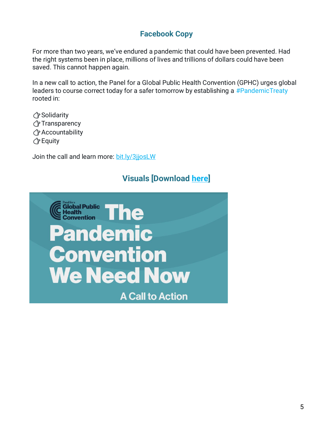## **Facebook Copy**

For more than two years, we've endured a pandemic that could have been prevented. Had the right systems been in place, millions of lives and trillions of dollars could have been saved. This cannot happen again.

In a new call to action, the Panel for a Global Public Health Convention (GPHC) urges global leaders to course correct today for a safer tomorrow by establishing a #PandemicTreaty rooted in:

Solidarity **子 Transparency** Accountability *<u></u>* Equity

Join the call and learn more: [bit.ly/3jjosLW](https://gphcpanel.org/the-pandemic-convention-we-need-now/)

## **Visuals [Download [here\]](https://drive.google.com/drive/folders/1OGazoWT362tQG33NhLiCex2K8pd9W9T-?usp=sharing)**

<span id="page-4-0"></span>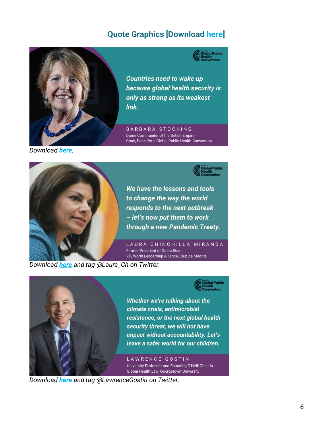# **Quote Graphics [Download [here\]](https://drive.google.com/drive/folders/1CcFt96xrJndTn-4exHS9BUtux7PfYHOM?usp=sharing)**



**Countries need to wake up** because global health security is only as strong as its weakest link.

BARBARA STOCKING Dame Commander of the British Empire Chair, Panel for a Global Public Health Convention

*Download [here](https://drive.google.com/file/d/1K1x3An6vC0tIdpHyF27ivtAqcE_m6g63/view?usp=sharing).*



*Download [here](https://drive.google.com/file/d/1lcWzF1rYfjqNkoudtie1do0VItQrMPtB/view?usp=sharing) and tag @Laura\_Ch on Twitter.* 



Whether we're talking about the climate crisis, antimicrobial resistance, or the next global health security threat, we will not have impact without accountability. Let's leave a safer world for our children.

LAWRENCE GOSTIN University Professor and Founding O'Neill Chair in Global Health Law, Georgetown University

*Download [here](https://drive.google.com/file/d/1w1QYiN3hz1Q_fWowhN3WF1h64_GQnbqK/view?usp=sharing) and tag @LawrenceGostin on Twitter.*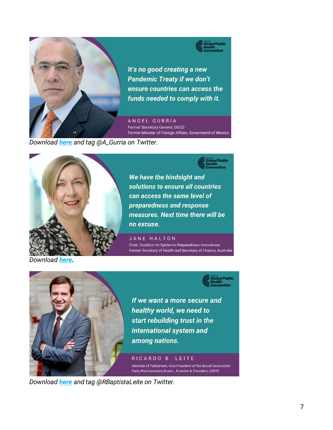



It's no good creating a new **Pandemic Treaty if we don't** ensure countries can access the funds needed to comply with it.

ANGEL GURRÍA Former Secretary-General, OECD Former Minister of Foreign Affairs, Government of Mexico

*Download [here](https://drive.google.com/file/d/1cyrssuL2EKXtbTy1WEUH18jd_WVF0GlX/view?usp=sharing) and tag @A\_Gurria on Twitter.* 



We have the hindsight and solutions to ensure all countries can access the same level of preparedness and response measures. Next time there will be no excuse.

JANE HALTON Chair, Coalition for Epidemic Preparedness Innovations Former Secretary of Health and Secretary of Finance, Australia

*Download [here.](https://drive.google.com/file/d/1ajr9sZGGw0zhJ9RnkGdLavOxkncGDNeX/view?usp=sharing)*



If we want a more secure and healthy world, we need to start rebuilding trust in the international system and among nations.

RICARDO B. LEITE Member of Parliament; Vice-President of the Social Democratic Party Parliamentary Board, ; Founder & President, UNITE

*Download [here](https://drive.google.com/file/d/1erdJRZ6aJU0NqeRCXNs-S0ipM22yeYEq/view?usp=sharing) and tag @RBaptistaLeite on Twitter.*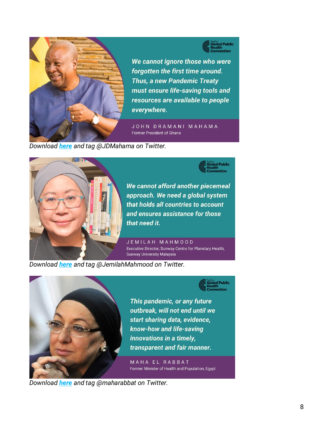

**C**<br>
Global Public<br>
Convention

We cannot ignore those who were forgotten the first time around. **Thus, a new Pandemic Treaty** must ensure life-saving tools and resources are available to people everywhere.

JOHN DRAMANI MAHAMA Former President of Ghana

*Download [here](https://drive.google.com/file/d/13v4sxmwT_YXVsSoKLEip8DML9laKfmHh/view?usp=sharing) and tag @JDMahama on Twitter.* 



We cannot afford another piecemeal approach. We need a global system that holds all countries to account and ensures assistance for those that need it.

JEMILAH MAHMOOD Executive Director, Sunway Centre for Planetary Health, Sunway University Malaysia

*Download [here](https://drive.google.com/file/d/1CiGh5VtMNxNnrh2QvQ5i6lkKdj2QLbgP/view?usp=sharing) and tag @JemilahMahmood on Twitter.* 





This pandemic, or any future outbreak, will not end until we start sharing data, evidence, know-how and life-saving innovations in a timely, transparent and fair manner.

MAHA EL RABBAT Former Minister of Health and Population, Egypt

*Download [here](https://drive.google.com/file/d/1Yb_RGI-sw1z9pfrwGM2LurkEGtbIM7rL/view?usp=sharing) and tag @maharabbat on Twitter.*